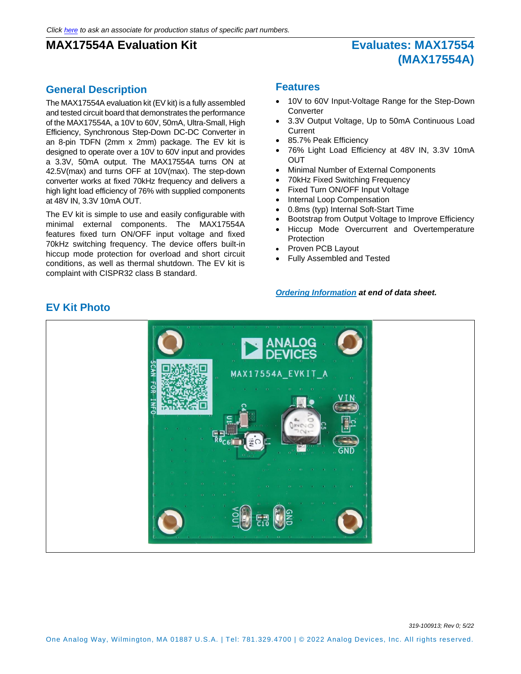# **(MAX17554A)**

### **General Description**

The MAX17554A evaluation kit (EV kit) is a fully assembled and tested circuit board that demonstrates the performance of the MAX17554A, a 10V to 60V, 50mA, Ultra-Small, High Efficiency, Synchronous Step-Down DC-DC Converter in an 8-pin TDFN (2mm x 2mm) package. The EV kit is designed to operate over a 10V to 60V input and provides a 3.3V, 50mA output. The MAX17554A turns ON at 42.5V(max) and turns OFF at 10V(max). The step-down converter works at fixed 70kHz frequency and delivers a high light load efficiency of 76% with supplied components at 48V IN, 3.3V 10mA OUT.

The EV kit is simple to use and easily configurable with minimal external components. The MAX17554A features fixed turn ON/OFF input voltage and fixed 70kHz switching frequency. The device offers built-in hiccup mode protection for overload and short circuit conditions, as well as thermal shutdown. The EV kit is complaint with CISPR32 class B standard.

#### **Features**

- 10V to 60V Input-Voltage Range for the Step-Down **Converter**
- 3.3V Output Voltage, Up to 50mA Continuous Load **Current**
- 85.7% Peak Efficiency
- 76% Light Load Efficiency at 48V IN, 3.3V 10mA **OUT**
- Minimal Number of External Components
- 70kHz Fixed Switching Frequency
- Fixed Turn ON/OFF Input Voltage
- Internal Loop Compensation
- 0.8ms (typ) Internal Soft-Start Time
- Bootstrap from Output Voltage to Improve Efficiency
- Hiccup Mode Overcurrent and Overtemperature Protection
- Proven PCB Layout
- Fully Assembled and Tested

#### *[Ordering Information](#page-7-0) at end of data sheet.*



### **EV Kit Photo**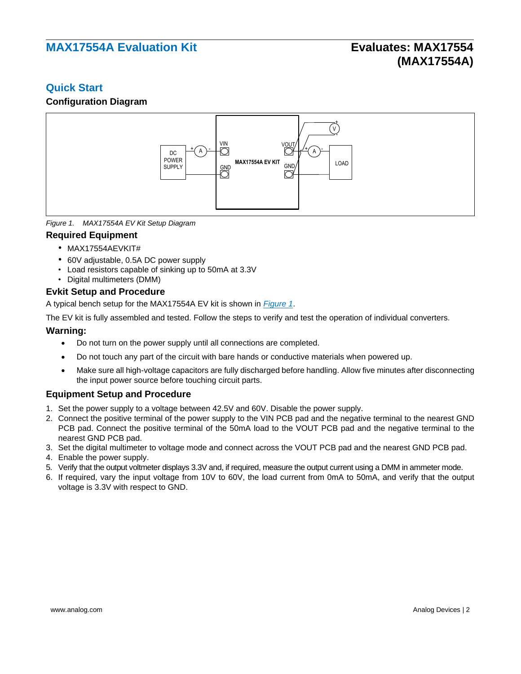### **Quick Start**

### **Configuration Diagram**



<span id="page-1-0"></span>*Figure 1. MAX17554A EV Kit Setup Diagram*

#### **Required Equipment**

- MAX17554AEVKIT#
- 60V adjustable, 0.5A DC power supply
- Load resistors capable of sinking up to 50mA at 3.3V
- Digital multimeters (DMM)

#### **Evkit Setup and Procedure**

A typical bench setup for the MAX17554A EV kit is shown in *[Figure 1](#page-1-0)*.

The EV kit is fully assembled and tested. Follow the steps to verify and test the operation of individual converters.

#### **Warning:**

- Do not turn on the power supply until all connections are completed.
- Do not touch any part of the circuit with bare hands or conductive materials when powered up.
- Make sure all high-voltage capacitors are fully discharged before handling. Allow five minutes after disconnecting the input power source before touching circuit parts.

#### **Equipment Setup and Procedure**

- 1. Set the power supply to a voltage between 42.5V and 60V. Disable the power supply.
- 2. Connect the positive terminal of the power supply to the VIN PCB pad and the negative terminal to the nearest GND PCB pad. Connect the positive terminal of the 50mA load to the VOUT PCB pad and the negative terminal to the nearest GND PCB pad.
- 3. Set the digital multimeter to voltage mode and connect across the VOUT PCB pad and the nearest GND PCB pad.
- 4. Enable the power supply.
- 5. Verify that the output voltmeter displays 3.3V and, if required, measure the output current using a DMM in ammeter mode.
- 6. If required, vary the input voltage from 10V to 60V, the load current from 0mA to 50mA, and verify that the output voltage is 3.3V with respect to GND.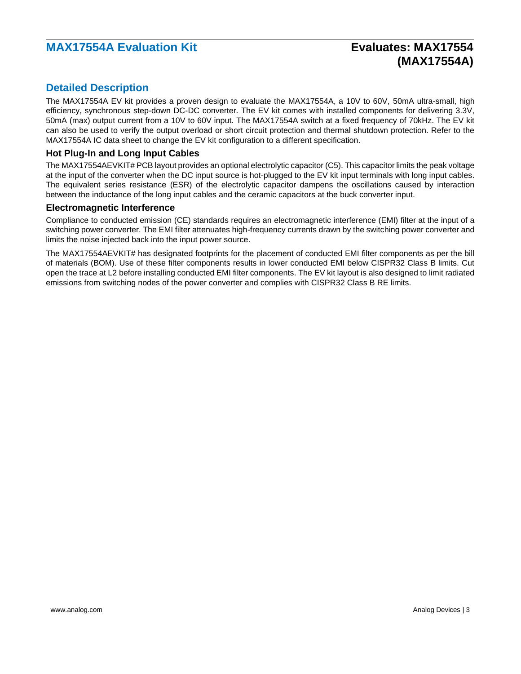# **(MAX17554A)**

### **Detailed Description**

The MAX17554A EV kit provides a proven design to evaluate the MAX17554A, a 10V to 60V, 50mA ultra-small, high efficiency, synchronous step-down DC-DC converter. The EV kit comes with installed components for delivering 3.3V, 50mA (max) output current from a 10V to 60V input. The MAX17554A switch at a fixed frequency of 70kHz. The EV kit can also be used to verify the output overload or short circuit protection and thermal shutdown protection. Refer to the MAX17554A IC data sheet to change the EV kit configuration to a different specification.

### **Hot Plug-In and Long Input Cables**

The MAX17554AEVKIT# PCB layout provides an optional electrolytic capacitor (C5). This capacitor limits the peak voltage at the input of the converter when the DC input source is hot-plugged to the EV kit input terminals with long input cables. The equivalent series resistance (ESR) of the electrolytic capacitor dampens the oscillations caused by interaction between the inductance of the long input cables and the ceramic capacitors at the buck converter input.

#### **Electromagnetic Interference**

Compliance to conducted emission (CE) standards requires an electromagnetic interference (EMI) filter at the input of a switching power converter. The EMI filter attenuates high-frequency currents drawn by the switching power converter and limits the noise injected back into the input power source.

The MAX17554AEVKIT# has designated footprints for the placement of conducted EMI filter components as per the bill of materials (BOM). Use of these filter components results in lower conducted EMI below CISPR32 Class B limits. Cut open the trace at L2 before installing conducted EMI filter components. The EV kit layout is also designed to limit radiated emissions from switching nodes of the power converter and complies with CISPR32 Class B RE limits.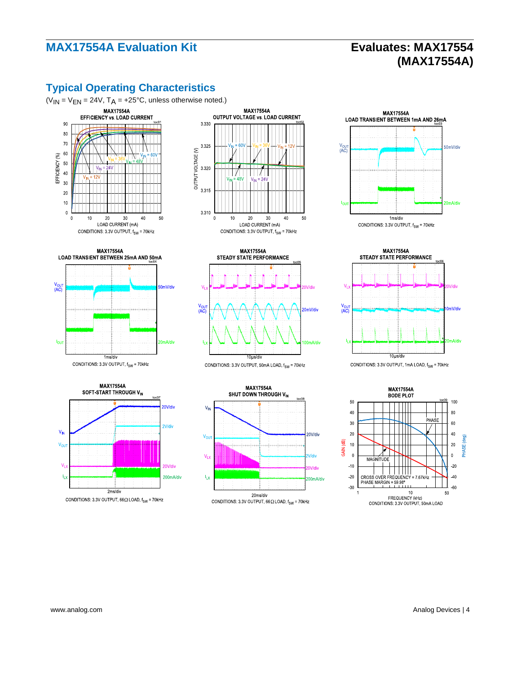# **(MAX17554A)**

## **Typical Operating Characteristics**



























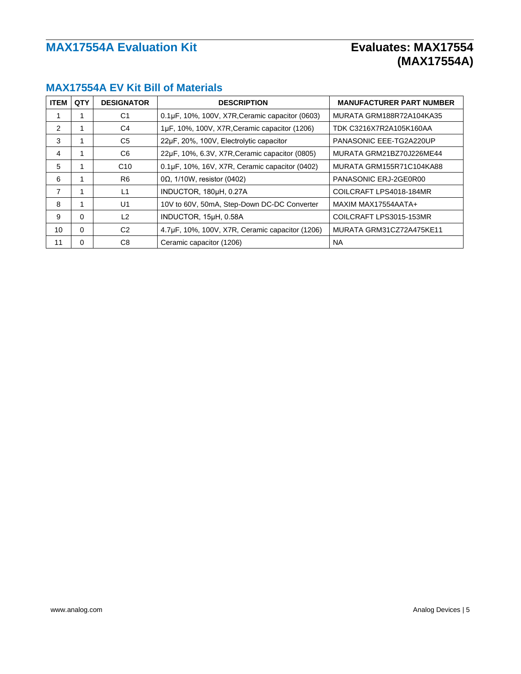# **(MAX17554A)**

| <b>ITEM</b>     | QTY      | <b>DESIGNATOR</b> | <b>DESCRIPTION</b>                              | <b>MANUFACTURER PART NUMBER</b> |
|-----------------|----------|-------------------|-------------------------------------------------|---------------------------------|
|                 |          | C <sub>1</sub>    | 0.1µF, 10%, 100V, X7R, Ceramic capacitor (0603) | MURATA GRM188R72A104KA35        |
| 2               | 1        | C4                | 1µF, 10%, 100V, X7R, Ceramic capacitor (1206)   | TDK C3216X7R2A105K160AA         |
| 3               |          | C <sub>5</sub>    | 22µF, 20%, 100V, Electrolytic capacitor         | PANASONIC EEE-TG2A220UP         |
| 4               | 1        | C <sub>6</sub>    | 22µF, 10%, 6.3V, X7R, Ceramic capacitor (0805)  | MURATA GRM21BZ70J226ME44        |
| 5               |          | C <sub>10</sub>   | 0.1µF, 10%, 16V, X7R, Ceramic capacitor (0402)  | MURATA GRM155R71C104KA88        |
| 6               |          | R <sub>6</sub>    | $0\Omega$ , 1/10W, resistor (0402)              | PANASONIC ERJ-2GE0R00           |
| 7               |          | L1                | INDUCTOR, 180µH, 0.27A                          | COILCRAFT LPS4018-184MR         |
| 8               | 1        | U1                | 10V to 60V, 50mA, Step-Down DC-DC Converter     | MAXIM MAX17554AATA+             |
| 9               | 0        | L2                | INDUCTOR, 15µH, 0.58A                           | COILCRAFT LPS3015-153MR         |
| 10 <sup>1</sup> | 0        | C <sub>2</sub>    | 4.7µF, 10%, 100V, X7R, Ceramic capacitor (1206) | MURATA GRM31CZ72A475KE11        |
| 11              | $\Omega$ | C <sub>8</sub>    | Ceramic capacitor (1206)                        | NA.                             |

### **MAX17554A EV Kit Bill of Materials**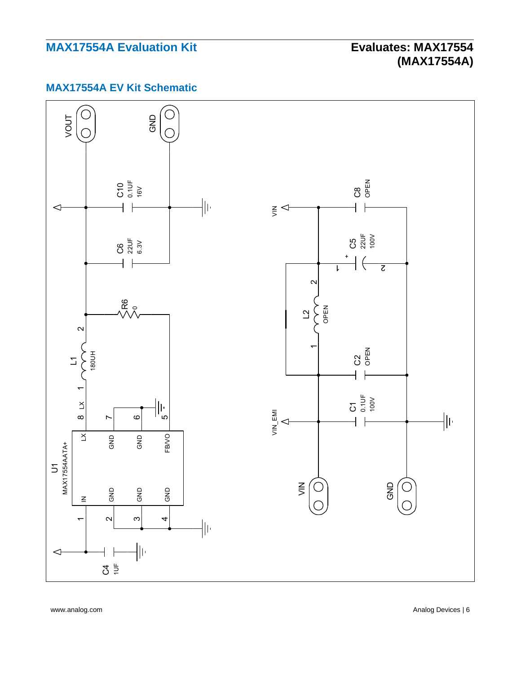# **(MAX17554A)**

## **MAX17554A EV Kit Schematic**



www.analog.com **Analog Devices | 6**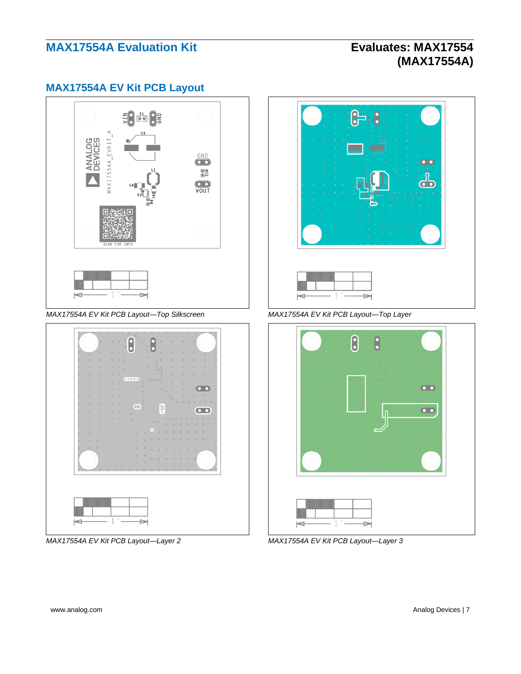# **(MAX17554A)**

### **MAX17554A EV Kit PCB Layout**



*MAX17554A EV Kit PCB Layout—Top Silkscreen MAX17554A EV Kit PCB Layout—Top Layer*



*MAX17554A EV Kit PCB Layout—Layer 2 MAX17554A EV Kit PCB Layout—Layer 3*

| ٥<br>٥<br>٥                             | c<br>c<br>o<br>o<br>0.0.0.0.0<br>$\ddot{\phantom{0}}$<br>$\ddot{\phantom{0}}$ | $\circ$<br>c                 | $\bullet$<br>$\circ$<br>o<br>٥<br>٥<br>$\bullet$<br>٥<br>ċ | ö<br>n<br>٥<br>$\circ$<br>ö |
|-----------------------------------------|-------------------------------------------------------------------------------|------------------------------|------------------------------------------------------------|-----------------------------|
| ó<br>ö<br>٥<br>۰<br>b<br>o              | ö<br>۰<br>$\circ$<br>۰                                                        | ٥<br>ó<br>۰                  | ا ه<br>$\bullet$<br>d<br>d<br>$\bullet$                    | a<br>٠                      |
| ٥<br>٥<br>٥<br>n<br>٥<br>٥<br>$\bullet$ | $\circ$<br>۰<br>$\ddot{\phantom{0}}$<br>۰<br>۰<br>$\ddot{\phantom{0}}$        | Ï<br>Ê<br>å<br>Ξ<br>٥.,<br>٥ | c                                                          |                             |
| ۰<br>ö<br>٠<br>o<br>$\bullet$<br>d<br>۰ | c                                                                             | ۰<br>d<br>o<br>$\circ$<br>ö  | ٥<br>$\ddot{\phantom{0}}$<br>٥                             | ۰                           |
|                                         |                                                                               | c<br>٥<br>o                  | c                                                          |                             |

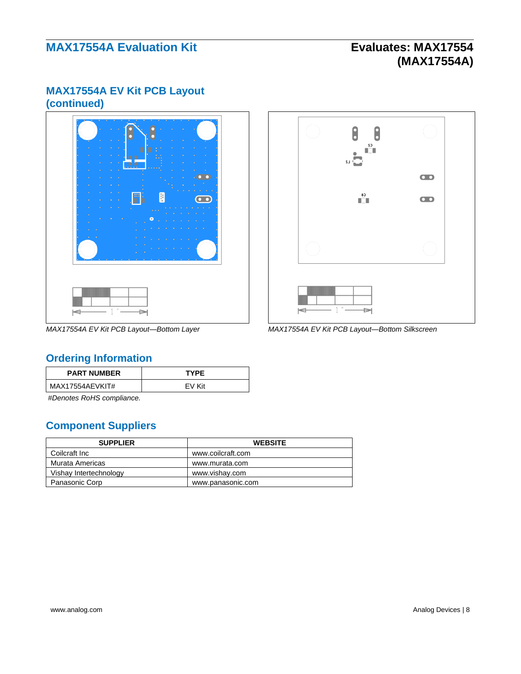# **(MAX17554A)**

## **MAX17554A EV Kit PCB Layout (continued)**





*MAX17554A EV Kit PCB Layout—Bottom Layer MAX17554A EV Kit PCB Layout—Bottom Silkscreen*

## <span id="page-7-0"></span>**Ordering Information**

| <b>PART NUMBER</b> | <b>TYPE</b> |
|--------------------|-------------|
| MAX17554AEVKIT#    | FV Kit      |

*#Denotes RoHS compliance.*

## **Component Suppliers**

| <b>SUPPLIER</b>        | <b>WEBSITE</b>    |
|------------------------|-------------------|
| Coilcraft Inc          | www.coilcraft.com |
| Murata Americas        | www.murata.com    |
| Vishay Intertechnology | www.vishay.com    |
| Panasonic Corp         | www.panasonic.com |